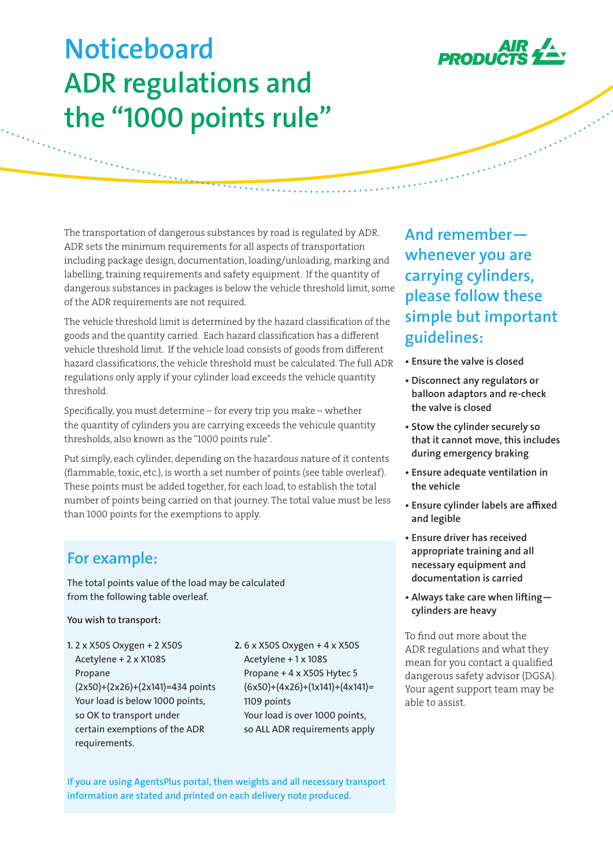

and the company of the company of the company of the company of the company of

# **Noticeboard ADR regulations and the "1000 points rule"**

The transportation of dangerous substances by road is regulated by ADR. ADR sets the minimum requirements for all aspects of transportation including package design, documentation, loading/unloading, marking and labelling, training requirements and safety equipment. If the quantity of dangerous substances in packages is below the vehicle threshold limit, some of the ADR requirements are not required.

 $\overline{\cdots}$ ......

The vehicle threshold limit is determined by the hazard classification of the goods and the quantity carried. Each hazard classification has a different vehicle threshold limit. If the vehicle load consists of goods from different hazard classifications, the vehicle threshold must be calculated. The full ADR regulations only apply if your cylinder load exceeds the vehicle quantity threshold.

Specifically, you must determine – for every trip you make – whether the quantity of cylinders you are carrying exceeds the vehicule quantity thresholds, also known as the "1000 points rule".

Put simply, each cylinder, depending on the hazardous nature of it contents (flammable, toxic, etc.), is worth a set number of points (see table overleaf). These points must be added together, for each load, to establish the total number of points being carried on that journey. The total value must be less than 1000 points for the exemptions to apply.

## **For example:**

en en de la partie de la partie de la partie de la partie de la partie de la partie de la partie de la partie<br>Les parties de la partie de la partie de la partie de la partie de la partie de la partie de la partie de la

The total points value of the load may be calculated from the following table overleaf.

**You wish to transport:**

- **1.** 2 x X50S Oxygen + 2 X50S Acetylene + 2 x X108S Propane (2x50)+(2x26)+(2x141)=434 points Your load is below 1000 points, so OK to transport under certain exemptions of the ADR requirements.
- **2.** 6 x X50S Oxygen + 4 x X50S Acetylene + 1 x 108S Propane + 4 x X50S Hytec 5  $(6x50)+(4x26)+(1x141)+(4x141)=$ 1109 points Your load is over 1000 points, so ALL ADR requirements apply

**If you are using AgentsPlus portal, then weights and all necessary transport information are stated and printed on each delivery note produced.**

**And remember whenever you are carrying cylinders, please follow these simple but important guidelines:**

- **Ensure the valve is closed**
- **Disconnect any regulators or balloon adaptors and re-check the valve is closed**
- **Stow the cylinder securely so that it cannot move, this includes during emergency braking**
- **Ensure adequate ventilation in the vehicle**
- **Ensure cylinder labels are affixed and legible**
- **Ensure driver has received appropriate training and all necessary equipment and documentation is carried**
- **Always take care when lifting cylinders are heavy**

To find out more about the ADR regulations and what they mean for you contact a qualified dangerous safety advisor (DGSA). Your agent support team may be able to assist.